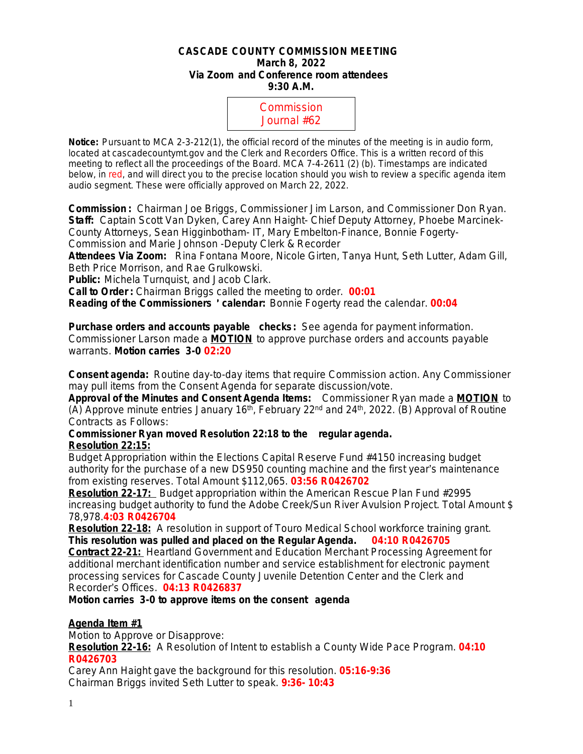#### **CASCADE COUNTY COMMISSION MEETING March 8, 2022 Via Zoom and Conference room attendees 9:30 A.M.**



**Notice:** Pursuant to MCA 2-3-212(1), the official record of the minutes of the meeting is in audio form, located at cascadecountymt.gov and the Clerk and Recorders Office. This is a written record of this meeting to reflect all the proceedings of the Board. MCA 7-4-2611 (2) (b). Timestamps are indicated below, in red, and will direct you to the precise location should you wish to review a specific agenda item audio segment. These were officially approved on March 22, 2022.

**Commission :** Chairman Joe Briggs, Commissioner Jim Larson, and Commissioner Don Ryan. **Staff:** Captain Scott Van Dyken, Carey Ann Haight- Chief Deputy Attorney, Phoebe Marcinek-County Attorneys, Sean Higginbotham- IT, Mary Embelton-Finance, Bonnie Fogerty-Commission and Marie Johnson -Deputy Clerk & Recorder

**Attendees Via Zoom:** Rina Fontana Moore, Nicole Girten, Tanya Hunt, Seth Lutter, Adam Gill, Beth Price Morrison, and Rae Grulkowski.

**Public:** Michela Turnquist, and Jacob Clark.

**Call to Order :** Chairman Briggs called the meeting to order. **00:01**

**Reading of the Commissioners** ' **calendar:** Bonnie Fogerty read the calendar. **00:04**

**Purchase orders and accounts payable checks:** *See agenda for payment information.* Commissioner Larson made a **MOTION** to approve purchase orders and accounts payable warrants. **Motion carries 3-0 02:20**

**Consent agenda:** Routine day-to-day items that require Commission action. Any Commissioner may pull items from the Consent Agenda for separate discussion/vote.

**Approval of the Minutes and Consent Agenda Items:** Commissioner Ryan made a **MOTION** to (A) Approve minute entries January  $16<sup>th</sup>$ , February 22<sup>nd</sup> and 24<sup>th</sup>, 2022. (B) Approval of Routine Contracts as Follows:

**Commissioner Ryan moved Resolution 22:18 to the regular agenda. Resolution 22:15:**

Budget Appropriation within the Elections Capital Reserve Fund #4150 increasing budget authority for the purchase of a new DS950 counting machine and the first year's maintenance from existing reserves. Total Amount \$112,065. **03:56 R0426702**

**Resolution 22-17:** Budget appropriation within the American Rescue Plan Fund #2995 increasing budget authority to fund the Adobe Creek/Sun River Avulsion Project. Total Amount \$ 78,978.**4:03 R0426704**

**Resolution 22-18:** A resolution in support of Touro Medical School workforce training grant. *This resolution was pulled and placed on the Regular Agenda.* **04:10 R0426705**

**Contract 22-21:** Heartland Government and Education Merchant Processing Agreement for additional merchant identification number and service establishment for electronic payment processing services for Cascade County Juvenile Detention Center and the Clerk and Recorder's Offices. **04:13 R0426837**

**Motion carries 3-0 to approve items on the consent agenda**

# **Agenda Item #1**

Motion to Approve or Disapprove:

**Resolution 22-16:** A Resolution of Intent to establish a County Wide Pace Program. **04:10 R0426703**

Carey Ann Haight gave the background for this resolution. **05:16-9:36** Chairman Briggs invited Seth Lutter to speak. **9:36- 10:43**